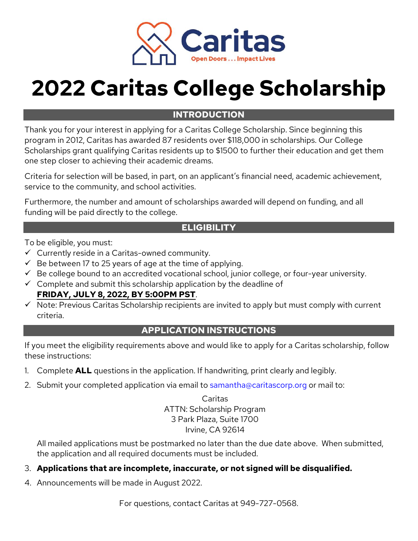

# **2022 Caritas College Scholarship**

# **INTRODUCTION**

Thank you for your interest in applying for a Caritas College Scholarship. Since beginning this program in 2012, Caritas has awarded 87 residents over \$118,000 in scholarships. Our College Scholarships grant qualifying Caritas residents up to \$1500 to further their education and get them one step closer to achieving their academic dreams.

Criteria for selection will be based, in part, on an applicant's financial need, academic achievement, service to the community, and school activities.

Furthermore, the number and amount of scholarships awarded will depend on funding, and all funding will be paid directly to the college.

#### **ELIGIBILITY**

To be eligible, you must:

- $\checkmark$  Currently reside in a Caritas-owned community.
- $\checkmark$  Be between 17 to 25 years of age at the time of applying.
- $\checkmark$  Be college bound to an accredited vocational school, junior college, or four-year university.
- $\checkmark$  Complete and submit this scholarship application by the deadline of **FRIDAY, JULY 8, 2022, BY 5:00PM PST**.
- $\checkmark$  Note: Previous Caritas Scholarship recipients are invited to apply but must comply with current criteria.

## **APPLICATION INSTRUCTIONS**

If you meet the eligibility requirements above and would like to apply for a Caritas scholarship, follow these instructions:

- 1. Complete **ALL** questions in the application. If handwriting, print clearly and legibly.
- 2. Submit your completed application via email to samantha@caritascorp.org or mail to:

Caritas ATTN: Scholarship Program 3 Park Plaza, Suite 1700 Irvine, CA 92614

All mailed applications must be postmarked no later than the due date above. When submitted, the application and all required documents must be included.

- 3. **Applications that are incomplete, inaccurate, or not signed will be disqualified.**
- 4. Announcements will be made in August 2022.

For questions, contact Caritas at 949-727-0568.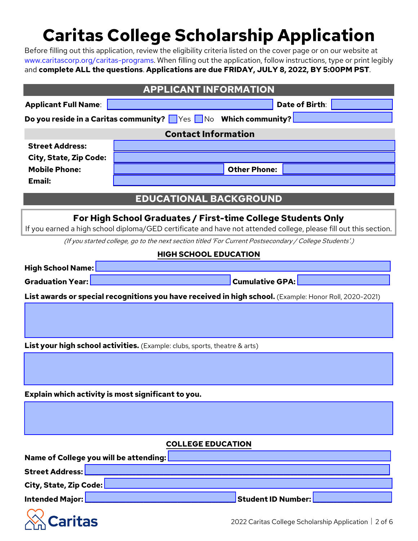# **Caritas College Scholarship Application**

Before filling out this application, review the eligibility criteria listed on the cover page or on our website at www.caritascorp.org/caritas-programs. When filling out the application, follow instructions, type or print legibly and **complete ALL the questions**. **Applications are due FRIDAY, JULY 8, 2022, BY 5:00PM PST**.

| <b>APPLICANT INFORMATION</b>           |                                                                                                                  |  |  |  |  |  |  |
|----------------------------------------|------------------------------------------------------------------------------------------------------------------|--|--|--|--|--|--|
| <b>Applicant Full Name:</b>            | Date of Birth:                                                                                                   |  |  |  |  |  |  |
|                                        | Do you reside in a Caritas community? Ves No Which community?                                                    |  |  |  |  |  |  |
| <b>Contact Information</b>             |                                                                                                                  |  |  |  |  |  |  |
| <b>Street Address:</b>                 |                                                                                                                  |  |  |  |  |  |  |
| <b>City, State, Zip Code:</b>          |                                                                                                                  |  |  |  |  |  |  |
| <b>Mobile Phone:</b><br>Email:         | <b>Other Phone:</b>                                                                                              |  |  |  |  |  |  |
|                                        |                                                                                                                  |  |  |  |  |  |  |
|                                        | <b>EDUCATIONAL BACKGROUND</b>                                                                                    |  |  |  |  |  |  |
|                                        | For High School Graduates / First-time College Students Only                                                     |  |  |  |  |  |  |
|                                        | If you earned a high school diploma/GED certificate and have not attended college, please fill out this section. |  |  |  |  |  |  |
|                                        | (If you started college, go to the next section titled 'For Current Postsecondary / College Students'.)          |  |  |  |  |  |  |
|                                        | <b>HIGH SCHOOL EDUCATION</b>                                                                                     |  |  |  |  |  |  |
| <b>High School Name:</b>               |                                                                                                                  |  |  |  |  |  |  |
| <b>Graduation Year:</b>                | <b>Cumulative GPA:</b>                                                                                           |  |  |  |  |  |  |
|                                        | List awards or special recognitions you have received in high school. (Example: Honor Roll, 2020-2021)           |  |  |  |  |  |  |
|                                        |                                                                                                                  |  |  |  |  |  |  |
|                                        |                                                                                                                  |  |  |  |  |  |  |
|                                        | <b>List your high school activities.</b> (Example: clubs, sports, theatre & arts)                                |  |  |  |  |  |  |
|                                        |                                                                                                                  |  |  |  |  |  |  |
|                                        |                                                                                                                  |  |  |  |  |  |  |
|                                        |                                                                                                                  |  |  |  |  |  |  |
|                                        | Explain which activity is most significant to you.                                                               |  |  |  |  |  |  |
|                                        |                                                                                                                  |  |  |  |  |  |  |
|                                        |                                                                                                                  |  |  |  |  |  |  |
|                                        | <b>COLLEGE EDUCATION</b>                                                                                         |  |  |  |  |  |  |
| Name of College you will be attending: |                                                                                                                  |  |  |  |  |  |  |
| <b>Street Address:</b>                 |                                                                                                                  |  |  |  |  |  |  |
| City, State, Zip Code:                 |                                                                                                                  |  |  |  |  |  |  |
| Intended Major:                        | <b>Student ID Number:</b>                                                                                        |  |  |  |  |  |  |
|                                        |                                                                                                                  |  |  |  |  |  |  |
| aritas                                 | 2022 Caritas College Scholarship Application   2 of 6                                                            |  |  |  |  |  |  |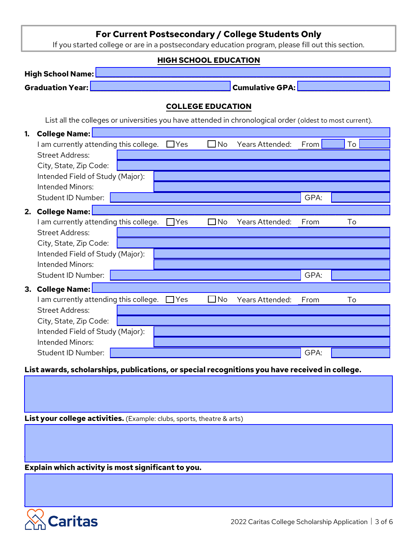#### **For Current Postsecondary / College Students Only**

If you started college or are in a postsecondary education program, please fill out this section.

# **HIGH SCHOOL EDUCATION High School Name: Graduation Year:** \_\_\_\_\_\_\_\_\_\_\_\_\_\_\_\_\_\_\_\_\_\_\_\_\_\_\_\_\_\_\_\_\_\_\_\_\_\_\_\_\_ **Cumulative GPA:** \_\_\_\_\_\_\_\_\_\_\_\_\_\_\_\_\_\_\_\_\_\_\_\_\_\_\_ **COLLEGE EDUCATION** List all the colleges or universities you have attended in chronological order (oldest to most current). **1. College Name:** I am currently attending this college. □ Yes □ No Years Attended: From To To Street Address: City, State, Zip Code: Intended Field of Study (Major): Intended Minors: Student ID Number: George Communication of the Communication of GPA: **2. College Name:** \_\_\_\_\_\_\_\_\_\_\_\_\_\_\_\_\_\_\_\_\_\_\_\_\_\_\_\_\_\_\_\_\_\_\_\_\_\_\_\_\_\_\_\_\_\_\_\_\_\_\_\_\_\_\_\_\_\_\_\_\_\_\_\_\_\_\_\_\_\_\_\_\_\_\_\_\_\_\_\_\_\_\_\_\_\_\_ I am currently attending this college. □ Yes □ No Years Attended: From To Street Address: City, State, Zip Code: Intended Field of Study (Major): Intended Minors: Student ID Number: Germany Communication of the Communication of the GPA: **3. College Name:** I am currently attending this college. □ Yes □ No Years Attended: From To Street Address: City, State, Zip Code: Intended Field of Study (Major): Intended Minors: Student ID Number: Germany Communication of the Communication of the GPA:

**List awards, scholarships, publications, or special recognitions you have received in college.** 

**List your college activities.** (Example: clubs, sports, theatre & arts)

**Explain which activity is most significant to you.**

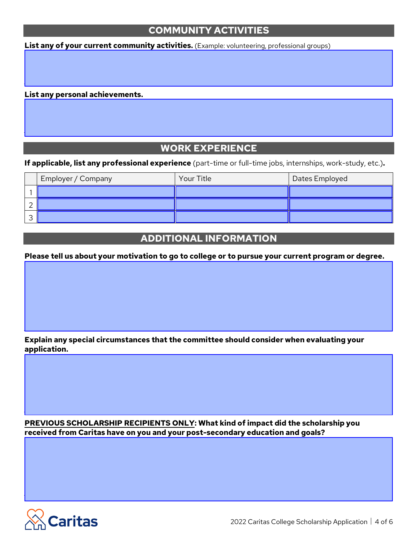# **COMMUNITY ACTIVITIES**

List any of your current community activities. (Example: volunteering, professional groups)

#### **List any personal achievements.**

#### **WORK EXPERIENCE**

**If applicable, list any professional experience** (part-time or full-time jobs, internships, work-study, etc.)**.** 

| Employer / Company | Your Title | Dates Employed |
|--------------------|------------|----------------|
|                    |            |                |
|                    |            |                |
|                    |            |                |

#### **ADDITIONAL INFORMATION**

**Please tell us about your motivation to go to college or to pursue your current program or degree.**

**Explain any special circumstances that the committee should consider when evaluating your application.** 

**PREVIOUS SCHOLARSHIP RECIPIENTS ONLY: What kind of impact did the scholarship you received from Caritas have on you and your post-secondary education and goals?**

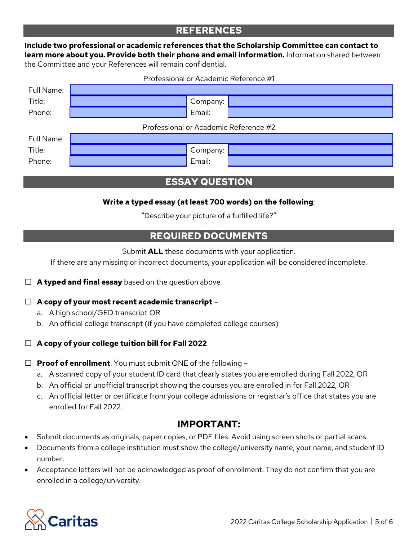# **REFERENCES**

#### **Include two professional or academic references that the Scholarship Committee can contact to learn more about you. Provide both their phone and email information.** Information shared between the Committee and your References will remain confidential.

Professional or Academic Reference #1

| Full Name:                            |  |          |  |  |  |  |  |  |  |
|---------------------------------------|--|----------|--|--|--|--|--|--|--|
| Title:                                |  | Company: |  |  |  |  |  |  |  |
| Phone:                                |  | Email:   |  |  |  |  |  |  |  |
| Professional or Academic Reference #2 |  |          |  |  |  |  |  |  |  |
| Full Name:                            |  |          |  |  |  |  |  |  |  |
| Title:                                |  | Company: |  |  |  |  |  |  |  |
| Phone:                                |  | Email:   |  |  |  |  |  |  |  |

# **ESSAY QUESTION**

#### **Write a typed essay (at least 700 words) on the following**:

"Describe your picture of a fulfilled life?"

# **REQUIRED DOCUMENTS**

Submit **ALL** these documents with your application.

If there are any missing or incorrect documents, your application will be considered incomplete.

#### □ **<sup>A</sup> typed and final essay** based on the question above

#### □ **A copy of your most recent academic transcript** –

- a. A high school/GED transcript OR
- b. An official college transcript (if you have completed college courses)

#### □ **A copy of your college tuition bill for Fall 2022**

□ **Proof of enrollment**. You must submit ONE of the following –

- a. A scanned copy of your student ID card that clearly states you are enrolled during Fall 2022, OR
- b. An official or unofficial transcript showing the courses you are enrolled in for Fall 2022, OR
- c. An official letter or certificate from your college admissions or registrar's office that states you are enrolled for Fall 2022.

#### **IMPORTANT:**

- Submit documents as originals, paper copies, or PDF files. Avoid using screen shots or partial scans.
- Documents from a college institution must show the college/university name, your name, and student ID number.
- Acceptance letters will not be acknowledged as proof of enrollment. They do not confirm that you are enrolled in a college/university.